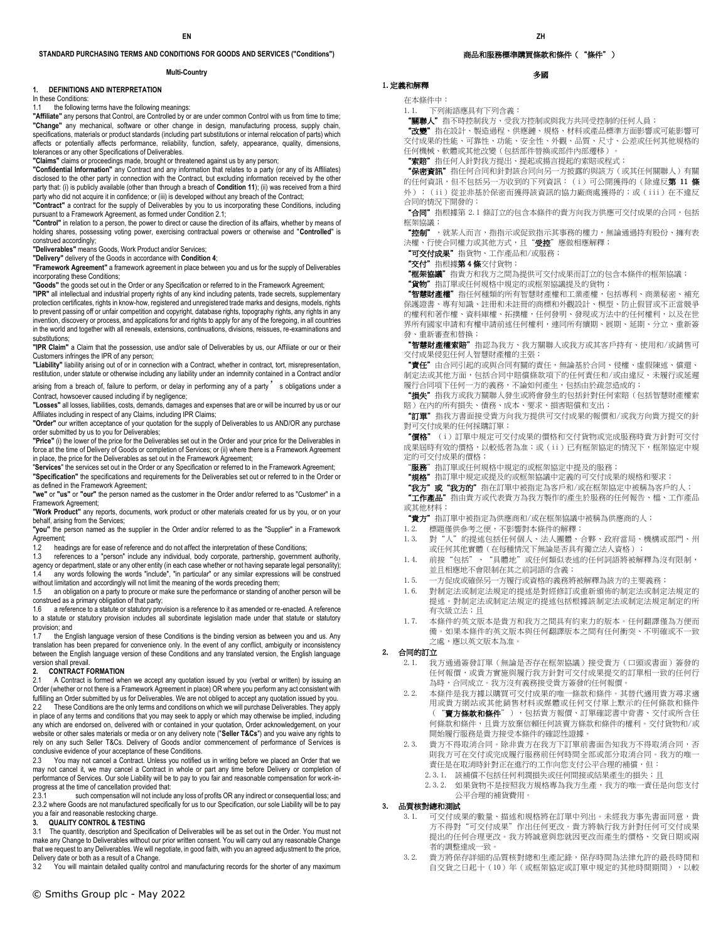## **STANDARD PURCHASING TERMS AND CONDITIONS FOR GOODS AND SERVICES ("Conditions")**

#### **Multi-Country**

### **1. DEFINITIONS AND INTERPRETATION**

In these Conditions:

## 1.1 the following terms have the following meanings:

**"Affiliate"** any persons that Control, are Controlled by or are under common Control with us from time to time; **"Change"** any mechanical, software or other change in design, manufacturing process, supply chain, specifications, materials or product standards (including part substitutions or internal relocation of parts) which affects or potentially affects performance, reliability, function, safety, appearance, quality, dimensions, tolerances or any other Specifications of Deliverables.

**"Claims"** claims or proceedings made, brought or threatened against us by any person;

**"Confidential Information"** any Contract and any information that relates to a party (or any of its Affiliates) disclosed to the other party in connection with the Contract, but excluding information received by the other party that: (i) is publicly available (other than through a breach of **Condition 11**); (ii) was received from a third party who did not acquire it in confidence; or (iii) is developed without any breach of the Contract; **"Contract"** a contract for the supply of Deliverables by you to us incorporating these Conditions, including

pursuant to a Framework Agreement, as formed under Condition 2.1;

**"Control"** in relation to a person, the power to direct or cause the direction of its affairs, whether by means of holding shares, possessing voting power, exercising contractual powers or otherwise and "**Controlled**" is construed accordingly;

**"Deliverables"** means Goods, Work Product and/or Services;

**"Delivery"** delivery of the Goods in accordance with **Condition 4**;

**"Framework Agreement"** a framework agreement in place between you and us for the supply of Deliverables incorporating these Conditions;

**"Goods"** the goods set out in the Order or any Specification or referred to in the Framework Agreement;

**"IPR"** all intellectual and industrial property rights of any kind including patents, trade secrets, supplementary protection certificates, rights in know-how, registered and unregistered trade marks and designs, models, rights to prevent passing off or unfair competition and copyright, database rights, topography rights, any rights in any<br>invention, discovery or process, and applications for and rights to apply for any of the foregoing, in all c in the world and together with all renewals, extensions, continuations, divisions, reissues, re-examinations and substitutions;

**"IPR Claim"** a Claim that the possession, use and/or sale of Deliverables by us, our Affiliate or our or their Customers infringes the IPR of any person;

**"Liability"** liability arising out of or in connection with a Contract, whether in contract, tort, misrepresentation, restitution, under statute or otherwise including any liability under an indemnity contained in a Contract and/or

arising from a breach of, failure to perform, or delay in performing any of a party' s obligations under a Contract, howsoever caused including if by negligence;

**"Losses"** all losses, liabilities, costs, demands, damages and expenses that are or will be incurred by us or our Affiliates including in respect of any Claims, including IPR Claims;

**"Order"** our written acceptance of your quotation for the supply of Deliverables to us AND/OR any purchase order submitted by us to you for Deliverables;

**"Price"** (i) the lower of the price for the Deliverables set out in the Order and your price for the Deliverables in force at the time of Delivery of Goods or completion of Services; or (ii) where there is a Framework Agreement in place, the price for the Deliverables as set out in the Framework Agreement;

"**Services**" the services set out in the Order or any Specification or referred to in the Framework Agreement; **"Specification"** the specifications and requirements for the Deliverables set out or referred to in the Order or as defined in the Framework Agreement;

**"we"** or **"us"** or **"our"** the person named as the customer in the Order and/or referred to as "Customer" in a Framework Agreement;

**"Work Product"** any reports, documents, work product or other materials created for us by you, or on your behalf, arising from the Services;

**"you"** the person named as the supplier in the Order and/or referred to as the "Supplier" in a Framework Agreement;

1.2 headings are for ease of reference and do not affect the interpretation of these Conditions;<br>1.3 references to a "person" include any individual, body corporate, partnership, governmen

references to a "person" include any individual, body corporate, partnership, government authority, agency or department, state or any other entity (in each case whether or not having separate legal personality);<br>14 any words following the words "include" "in particular" or any similar expressions will be construed any words following the words "include", "in particular" or any similar expressions will be construed without limitation and accordingly will not limit the meaning of the words preceding them;

1.5 an obligation on a party to procure or make sure the performance or standing of another person will be construed as a primary obligation of that party;

1.6 a reference to a statute or statutory provision is a reference to it as amended or re-enacted. A reference to a statute or statutory provision includes all subordinate legislation made under that statute or statutory provision; and

1.7 the English language version of these Conditions is the binding version as between you and us. Any translation has been prepared for convenience only. In the event of any conflict, ambiguity or inconsistency between the English language version of these Conditions and any translated version, the English language version shall prevail.<br>2. **CONTRACT F** 

## **2. CONTRACT FORMATION**

2.1 A Contract is formed when we accept any quotation issued by you (verbal or written) by issuing an Order (whether or not there is a Framework Agreement in place) OR where you perform any act consistent with fulfilling an Order submitted by us for Deliverables. We are not obliged to accept any quotation issued by you.<br>22 These Conditions are the only terms and conditions on which we will purchase Deliverables. They apply These Conditions are the only terms and conditions on which we will purchase Deliverables. They apply in place of any terms and conditions that you may seek to apply or which may otherwise be implied, including any which are endorsed on, delivered with or contained in your quotation, Order acknowledgement, on your website or other sales materials or media or on any delivery note ("**Seller T&Cs**") and you waive any rights to rely on any such Seller T&Cs. Delivery of Goods and/or commencement of performance of Services is conclusive evidence of your acceptance of these Conditions.

2.3 You may not cancel a Contract. Unless you notified us in writing before we placed an Order that we may not cancel it, we may cancel a Contract in whole or part any time before Delivery or completion of performance of Services. Our sole Liability will be to pay to you fair and reasonable compensation for work-inprogress at the time of cancellation provided that:<br>2.3.1 such compensation will not include

such compensation will not include any loss of profits OR any indirect or consequential loss; and 2.3.2 where Goods are not manufactured specifically for us to our Specification, our sole Liability will be to pay you a fair and reasonable restocking charge.

## **3. QUALITY CONTROL & TESTING**

3.1 The quantity, description and Specification of Deliverables will be as set out in the Order. You must not make any Change to Deliverables without our prior written consent. You will carry out any reasonable Change that we request to any Deliverables. We will negotiate, in good faith, with you an agreed adjustment to the price, Delivery date or both as a result of a Change.

You will maintain detailed quality control and manufacturing records for the shorter of any maximum

## 商品和服務標準購買條款和條件("條件")

## 多國

# 1.定義和解釋

在本條件中:

1.1. 下列術語應具有下列含義:

"關聯人"指不時控制我方、受我方控制或與我方共同受控制的任何人員;

"改變"指在設計、製造過程、供應鏈、規格、材料或產品標準方面影響或可能影響可 交付成果的性能、可靠性、功能、安全性、外觀、品質、尺寸、公差或任何其他規格的 任何機械、軟體或其他改變(包括部件替換或部件內部遷移)。

"索賠"指任何人針對我方提出、提起或揚言提起的索賠或程式;

**"保密資訊"**指任何合同和針對該合同向另一方披露的與該方(或其任何關聯人)有關 的任何資訊,但不包括另一方收到的下列資訊: (i)可公開獲得的(除違反**第 11 條** 外);(ii)從並非基於保密而獲得該資訊的協力廠商處獲得的;或(iii)在不違反 合同的情況下開發的;

"合同"指根據第 2.1 條訂立的包含本條件的貴方向我方供應可交付成果的合同,包括 框架協議;

"控制", 就某人而言, 指指示或促致指示其事務的權力, 無論通過持有股份、擁有表 決權、行使合同權力或其他方式,且"受控"應做相應解釋;

"可交付成果"指貨物、工作產品和/或服務;

"交付"指根據第 4 條交付貨物;

。<br>**"框架協議"** 指貴方和我方之間為提供可交付成果而訂立的包含本條件的框架協議;

"貨物"</mark>指訂單或任何規格中規定的或框架協議提及的貨物;

智慧財產權"指任何種類的所有智慧財產權和工業產權,包括專利、商業秘密、補充 保護證書、專有知識、註冊和未註冊的商標和外觀設計、模型、防止假冒或不正當競爭 的權利和著作權、資料庫權、拓撲權,任何發明、發現或方法中的任何權利,以及在世 界所有國家申請和有權申請前述任何權利,連同所有續期、展期、延期、分立、重新簽 發、重新審查和替換;

"智慧財產權索賠"指認為我方、我方關聯人或我方或其客戶持有、使用和/或銷售可 交付成果侵犯任何人智慧財產權的主張;

"責任"由合同引起的或與合同有關的責任,無論基於合同、侵權、虛假陳述、償還、 制定法或其他方面,包括合同中賠償條款項下的任何責任和/或由違反、未履行或延遲 履行合同項下任何一方的義務,不論如何產生,包括由於疏忽造成的;

"損失"指我方或我方關聯人發生或將會發生的包括針對任何索賠(包括智慧財產權索 賠)在內的所有損失、債務、成本、要求、損害賠償和支出;

"訂單"指我方書面接受貴方向我方提供可交付成果的報價和/或我方向貴方提交的針 對可交付成果的任何採購訂單;

"價格"(i)訂單中規定可交付成果的價格和交付貨物或完成服務時貴方針對可交付 成果屆時有效的價格,以較低者為准;或(ii)已有框架協定的情況下,框架協定中規 定的可交付成果的價格;

"服務"指訂單或任何規格中規定的或框架協定中提及的服務;

**"規格"** 指訂單中規定或提及的或框架協議中定義的可交付成果的規格和要求;

"我方"或"我方的"指在訂單中被指定為客戶和/或在框架協定中被稱為客戶的人;

"工**作產品"**指由貴方或代表貴方為我方製作的產生於服務的任何報告、檔、工作產品 或其他材料;

"貴方"指訂單中被指定為供應商和/或在框架協議中被稱為供應商的人;

1.2. 標題僅供參考之便,不影響對本條件的解釋;

- 1.3. 對"人"的提述包括任何個人、法人團體、合夥、政府當局、機構或部門、州 或任何其他實體 (在每種情況下無論是否具有獨立法人資格);
- 1.4. 前接"包括"、"具體地"或任何類似表述的任何詞語將被解釋為沒有限制, 並且相應地不會限制在其之前詞語的含義;
- 1.5. 一方促成或確保另一方履行或資格的義務將被解釋為該方的主要義務;
- 1.6. 對制定法或制定法規定的提述是對經修訂或重新頒佈的制定法或制定法規定的 提述。對制定法或制定法規定的提述包括根據該制定法或制定法規定制定的所 有次級立法;且
- 1.7. 本條件的英文版本是貴方和我方之間具有約束力的版本。任何翻譯僅為方便而 備。如果本條件的英文版本與任何翻譯版本之間有任何衝突、不明確或不一致 之處,應以英文版本為准。

## 2. 合同的訂立

- 2.1. 我方通過簽發訂單(無論是否存在框架協議)接受貴方(口頭或書面)簽發的 任何報價,或貴方實施與履行我方針對可交付成果提交的訂單相一致的任何行 為時,合同成立。我方沒有義務接受貴方簽發的任何報價。
- 2.2. 本條件是我方據以購買可交付成果的唯一條款和條件。其替代適用貴方尋求適 用或貴方網站或其他銷售材料或媒體或任何交付單上默示的任何條款和條件 ("賣方條款和條件"),包括貴方報價、訂單確認書中背書、交付或所含任 何條款和條件,且貴方放棄信賴任何該賣方條款和條件的權利。交付貨物和/或 開始履行服務是貴方接受本條件的確認性證據。
- 2.3. 貴方不得取消合同。除非貴方在我方下訂單前書面告知我方不得取消合同,否 則我方可在交付或完成履行服務前任何時間全部或部分取消合同。我方的唯一 責任是在取消時針對正在進行的工作向您支付公平合理的補償,但:
	- 2.3.1. 該補償不包括任何利潤損失或任何間接或結果產生的損失;且
	- 2.3.2. 如果貨物不是按照我方規格專為我方生產,我方的唯一責任是向您支付 公平合理的補貨費用。

### 3. 品質核對總和測試

- 可交付成果的數量、描述和規格將在訂單中列出。未經我方事先書面同意,貴 方不得對"可交付成果"作出任何更改。貴方將執行我方針對任何可交付成果 提出的任何合理更改。我方將誠意與您就因更改而產生的價格、交貨日期或兩 者的調整達成一致。
- 3.2. 貴方將保存詳細的品質核對總和生產記錄,保存時間為法律允許的最長時間和 自交貨之日起十(10)年(或框架協定或訂單中規定的其他時間期間),以較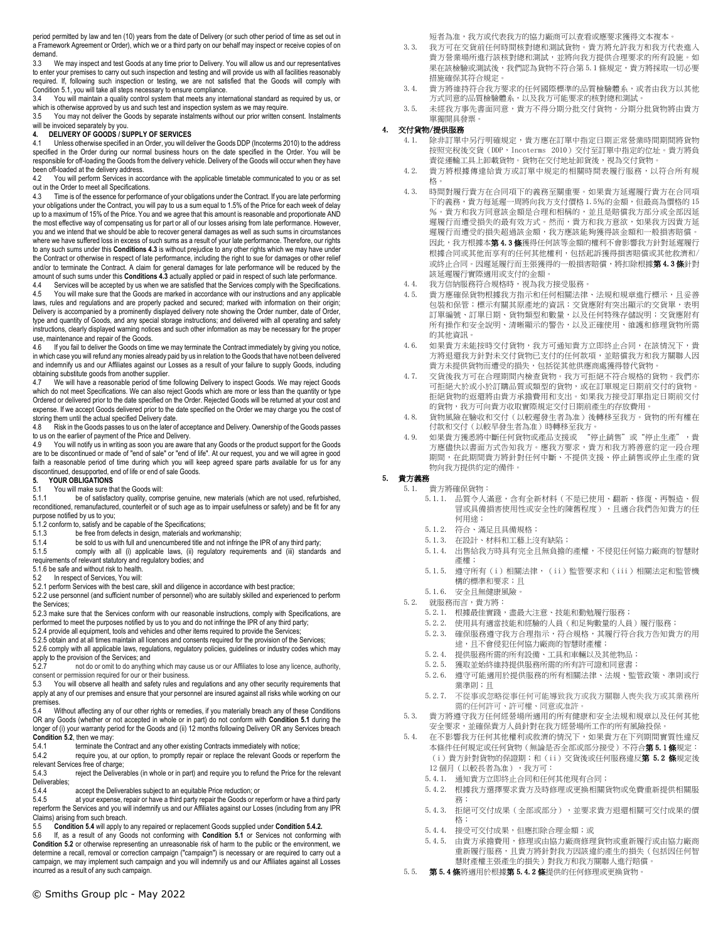period permitted by law and ten (10) years from the date of Delivery (or such other period of time as set out in a Framework Agreement or Order), which we or a third party on our behalf may inspect or receive copies of on demand.<br> $3.3 \times 10^{-10}$ 

We may inspect and test Goods at any time prior to Delivery. You will allow us and our representatives to enter your premises to carry out such inspection and testing and will provide us with all facilities reasonably required. If, following such inspection or testing, we are not satisfied that the Goods will comply with Condition 5.1, you will take all steps necessary to ensure compliance.

3.4 You will maintain a quality control system that meets any international standard as required by us, or which is otherwise approved by us and such test and inspection system as we may require.<br>3.5 You may not deliver the Goods by separate instalments without our prior written co

You may not deliver the Goods by separate instalments without our prior written consent. Instalments will be invoiced separately by you.

## **4. DELIVERY OF GOODS / SUPPLY OF SERVICES**

4.1 Unless otherwise specified in an Order, you will deliver the Goods DDP (Incoterms 2010) to the address specified in the Order during our normal business hours on the date specified in the Order. You will be responsible for off-loading the Goods from the delivery vehicle. Delivery of the Goods will occur when they have been off-loaded at the delivery address.

4.2 You will perform Services in accordance with the applicable timetable communicated to you or as set out in the Order to meet all Specifications.

4.3 Time is of the essence for performance of your obligations under the Contract. If you are late performing your obligations under the Contract, you will pay to us a sum equal to 1.5% of the Price for each week of delay up to a maximum of 15% of the Price. You and we agree that this amount is reasonable and proportionate AND the most effective way of compensating us for part or all of our losses arising from late performance. However, you and we intend that we should be able to recover general damages as well as such sums in circumstances where we have suffered loss in excess of such sums as a result of your late performance. Therefore, our rights to any such sums under this **Conditions 4.3** is without prejudice to any other rights which we may have under the Contract or otherwise in respect of late performance, including the right to sue for damages or other relief and/or to terminate the Contract. A claim for general damages for late performance will be reduced by the amount of such sums under this **Conditions 4.3** actually applied or paid in respect of such late performance.

Services will be accepted by us when we are satisfied that the Services comply with the Specifications. 4.5 You will make sure that the Goods are marked in accordance with our instructions and any applicable laws, rules and regulations and are properly packed and secured; marked with information on their origin; Delivery is accompanied by a prominently displayed delivery note showing the Order number, date of Order, type and quantity of Goods, and any special storage instructions; and delivered with all operating and safety instructions, clearly displayed warning notices and such other information as may be necessary for the proper use, maintenance and repair of the Goods.

4.6 If you fail to deliver the Goods on time we may terminate the Contract immediately by giving you notice, in which case you will refund any monies already paid by us in relation to the Goods that have not been delivered and indemnify us and our Affiliates against our Losses as a result of your failure to supply Goods, including obtaining substitute goods from another supplier.

4.7 We will have a reasonable period of time following Delivery to inspect Goods. We may reject Goods which do not meet Specifications. We can also reject Goods which are more or less than the quantity or type Ordered or delivered prior to the date specified on the Order. Rejected Goods will be returned at your cost and expense. If we accept Goods delivered prior to the date specified on the Order we may charge you the cost of storing them until the actual specified Delivery date.<br>4.8 Risk in the Goods passes to us on the later of

Risk in the Goods passes to us on the later of acceptance and Delivery. Ownership of the Goods passes to us on the earlier of payment of the Price and Delivery.

4.9 You will notify us in writing as soon you are aware that any Goods or the product support for the Goods are to be discontinued or made of "end of sale" or "end of life". At our request, you and we will agree in good faith a reasonable period of time during which you will keep agreed spare parts available for us for any discontinued, desupported, end of life or end of sale Goods.

# **5. YOUR OBLIGATIONS**

# 5.1 You will make sure that the Goods will:<br>5.1.1 be of satisfactory quality comp

be of satisfactory quality, comprise genuine, new materials (which are not used, refurbished, reconditioned, remanufactured, counterfeit or of such age as to impair usefulness or safety) and be fit for any purpose notified by us to you;

5.1.2 conform to, satisfy and be capable of the Specifications;

- 5.1.3 be free from defects in design, materials and workmanship;<br>5.1.4 be sold to us with full and unencumbered title and not infrinc
- be sold to us with full and unencumbered title and not infringe the IPR of any third party;
- 5.1.5 comply with all (i) applicable laws, (ii) regulatory requirements and (iii) standards and requirements of relevant statutory and regulatory bodies; and
- 5.1.6 be safe and without risk to health.
- 5.2 In respect of Services, You will:

5.2.1 perform Services with the best care, skill and diligence in accordance with best practice; 5.2.2 use personnel (and sufficient number of personnel) who are suitably skilled and experienced to perform the Services;

5.2.3 make sure that the Services conform with our reasonable instructions, comply with Specifications, are performed to meet the purposes notified by us to you and do not infringe the IPR of any third party;

5.2.4 provide all equipment, tools and vehicles and other items required to provide the Services;

5.2.5 obtain and at all times maintain all licences and consents required for the provision of the Services;

5.2.6 comply with all applicable laws, regulations, regulatory policies, guidelines or industry codes which may apply to the provision of the Services; and<br>5.2.7 pot do or omit to do anything

5.2.7 not do or omit to do anything which may cause us or our Affiliates to lose any licence, authority, consent or permission required for our or their business.<br>5.3 You will observe all health and safety rules and

You will observe all health and safety rules and regulations and any other security requirements that apply at any of our premises and ensure that your personnel are insured against all risks while working on our premises.<br>5.4 W

Without affecting any of our other rights or remedies, if you materially breach any of these Conditions OR any Goods (whether or not accepted in whole or in part) do not conform with **Condition 5.1** during the longer of (i) your warranty period for the Goods and (ii) 12 months following Delivery OR any Services breach **Condition 5.2**, then we may:

5.4.1 terminate the Contract and any other existing Contracts immediately with notice;

5.4.2 require you, at our option, to promptly repair or replace the relevant Goods or reperform the relevant Services free of charge;<br>5.4.3 reject the Delivera

reject the Deliverables (in whole or in part) and require you to refund the Price for the relevant Deliverables;<br>5.4.4

5.4.4 accept the Deliverables subject to an equitable Price reduction; or<br>5.4.5 at your expense repair or have a third party repair the Goods or re

at your expense, repair or have a third party repair the Goods or reperform or have a third party reperform the Services and you will indemnify us and our Affiliates against our Losses (including from any IPR Claims) arising from such breach.<br>5.5 **Condition 5.4** will apply to

5.5 **Condition 5.4** will apply to any repaired or replacement Goods supplied under **Condition 5.4.2.**

5.6 If, as a result of any Goods not conforming with **Condition 5.1** or Services not conforming with **Condition 5.2** or otherwise representing an unreasonable risk of harm to the public or the environment, we determine a recall, removal or correction campaign ("campaign") is necessary or are required to carry out a campaign, we may implement such campaign and you will indemnify us and our Affiliates against all Losses incurred as a result of any such campaign.

短者為准,我方或代表我方的協力廠商可以查看或應要求獲得文本複本。

- 3.3. 我方可在交貨前任何時間核對總和測試貨物。貴方將允許我方和我方代表進入 貴方營業場所進行該核對總和測試,並將向我方提供合理要求的所有設施。如 果在該檢驗或測試後,我們認為貨物不符合第 5.1 條規定,貴方將採取一切必要 措施確保其符合規定。
- 3.4. 貴方將維持符合我方要求的任何國際標準的品質檢驗體系,或者由我方以其他 方式同意的品質檢驗體系,以及我方可能要求的核對總和測試。
- 3.5. 未經我方事先書面同意,貴方不得分期分批交付貨物。分期分批貨物將由貴方 單獨開具發票。

## 4. 交付貨物/提供服務

- 4.1. 除非訂單中另行明確規定,貴方應在訂單中指定日期正常營業時間期間將貨物 按照完稅後交貨(DDP,Incoterms 2010)交付至訂單中指定的位址。貴方將負 責從運輸工具上卸載貨物。貨物在交付地址卸貨後,視為交付貨物。
- 4.2. 貴方將根據傳達給貴方或訂單中規定的相關時間表履行服務,以符合所有規 格。
- 4.3. 時間對履行貴方在合同項下的義務至關重要。如果貴方延遲履行貴方在合同項 下的義務,貴方每延遲一周將向我方支付價格 1.5%的金額,但最高為價格的 15 %。貴方和我方同意該金額是合理和相稱的,並且是賠償我方部分或全部因延 遲履行而遭受損失的最有效方式。然而,貴方和我方意欲,如果我方因貴方延 遲履行而遭受的損失超過該金額,我方應該能夠獲得該金額和一般損害賠償。 因此,我方根據本第 4.3條獲得任何該等金額的權利不會影響我方針對延遲履行 根據合同或其他而享有的任何其他權利,包括起訴獲得損害賠償或其他救濟和/ 或終止合同。因遲延履行而主張獲得的一般損害賠償,將扣除根據**第 4.3 條**針對 該延遲履行實際適用或支付的金額。
- 4.4. 我方信納服務符合規格時,視為我方接受服務。
- 4.5. 貴方應確保貨物根據我方指示和任何相關法律、法規和規章進行標示,且妥善 包裝和保管;標示有關其原產地的資訊;交貨應附有突出顯示的交貨單,表明 訂單編號、訂單日期、貨物類型和數量,以及任何特殊存儲說明;交貨應附有 所有操作和安全說明、清晰顯示的警告,以及正確使用、維護和修理貨物所需 的其他資訊。
- 4.6. 如果貴方未能按時交付貨物,我方可通知貴方立即終止合同,在該情況下,貴 方將退還我方針對未交付貨物已支付的任何款項,並賠償我方和我方關聯人因 貴方未提供貨物而遭受的損失,包括從其他供應商處獲得替代貨物。
- 4.7. 交貨後我方可在合理期間內檢查貨物。我方可拒絕不符合規格的貨物。我們亦 可拒絕大於或小於訂購品質或類型的貨物,或在訂單規定日期前交付的貨物。 拒絕貨物的返還將由貴方承擔費用和支出。如果我方接受訂單指定日期前交付 的貨物,我方可向貴方收取實際規定交付日期前產生的存放費用。
- 4.8. 貨物風險在驗收和交付(以較遲發生者為准)後轉移至我方。貨物的所有權在 付款和交付(以較早發生者為准)時轉移至我方。
- 4.9. 如果貴方獲悉將中斷任何貨物或產品支援或 "停止銷售"或"停止生產",貴 方應儘快以書面方式告知我方。應我方要求,貴方和我方將善意約定一段合理 期間,在此期間貴方將針對任何中斷、不提供支援、停止銷售或停止生產的貨 物向我方提供約定的備件。

## 5. 貴方義務

- 5.1. 貴方將確保貨物: 5.1.1. 品質令人滿意,含有全新材料(不是已使用、翻新、修復、再製造、假 冒或具備損害使用性或安全性的陳舊程度),且適合我們告知貴方的任 何用途;
	- 5.1.2. 符合、滿足且具備規格;
	- 5.1.3. 在設計、材料和工藝上沒有缺陷;
	- 5.1.4. 出售給我方時具有完全且無負擔的產權,不侵犯任何協力廠商的智慧財 產權;
	- 5.1.5. 遵守所有(i)相關法律,(ii)監管要求和(iii)相關法定和監管機 構的標準和要求;且
- 5.1.6. 安全且無健康風險。
- 5.2. 就服務而言,貴方將:
	- 5.2.1. 根據最佳實踐,盡最大注意、技能和勤勉履行服務;
	- 5.2.2. 使用具有適當技能和經驗的人員(和足夠數量的人員)履行服務;
	- 5.2.3. 確保服務遵守我方合理指示,符合規格,其履行符合我方告知貴方的用 途,且不會侵犯任何協力廠商的智慧財產權;
	- 5.2.4. 提供服務所需的所有設備、工具和車輛以及其他物品;
	- 5.2.5. 獲取並始終維持提供服務所需的所有許可證和同意書;
	- 5.2.6. 遵守可能適用於提供服務的所有相關法律、法規、監管政策、準則或行
	- 業準則;且
	- 5.2.7. 不從事或忽略從事任何可能導致我方或我方關聯人喪失我方或其業務所 需的任何許可、許可權、同意或准許。
- 5.3. 貴方將遵守我方任何經營場所適用的所有健康和安全法規和規章以及任何其他 安全要求,並確保貴方人員針對在我方經營場所工作的所有風險投保。
- 5.4. 在不影響我方任何其他權利或救濟的情況下,如果貴方在下列期間實質性違反 本條件任何規定或任何貨物(無論是否全部或部分接受)不符合**第 5.1 條**規定: (i)貴方針對貨物的保證期;和(ii)交貨後或任何服務違反第 5.2 條規定後 12個月(以較長者為准),我方可:
	- 5.4.1. 通知貴方立即終止合同和任何其他現有合同;
	- 5.4.2. 根據我方選擇要求貴方及時修理或更換相關貨物或免費重新提供相關服 務;
	- 5.4.3. 拒絕可交付成果(全部或部分),並要求貴方退還相關可交付成果的價 格;
	- 5.4.4. 接受可交付成果,但應扣除合理金額;或
	- 5.4.5. 由貴方承擔費用,修理或由協力廠商修理貨物或重新履行或由協力廠商 重新履行服務,且貴方將針對我方因該違約產生的損失(包括因任何智 慧財產權主張產生的損失)對我方和我方關聯人進行賠償。
- 5.5. 第5.4條將適用於根據第5.4.2條提供的任何修理或更換貨物。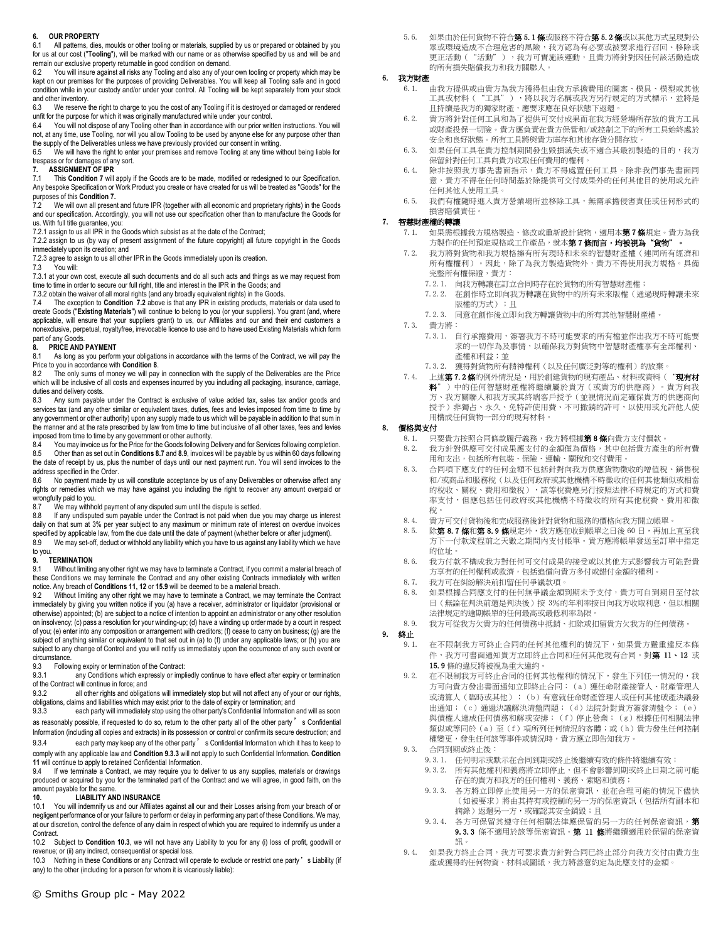## **6. OUR PROPERTY**

6.1 All patterns, dies, moulds or other tooling or materials, supplied by us or prepared or obtained by you for us at our cost ("**Tooling**"), will be marked with our name or as otherwise specified by us and will be and remain our exclusive property returnable in good condition on demand.

You will insure against all risks any Tooling and also any of your own tooling or property which may be kept on our premises for the purposes of providing Deliverables. You will keep all Tooling safe and in good condition while in your custody and/or under your control. All Tooling will be kept separately from your stock and other inventory.

6.3 We reserve the right to charge to you the cost of any Tooling if it is destroyed or damaged or rendered unfit for the purpose for which it was originally manufactured while under your control.<br>6.4 You will not dispose of any Tooling other than in accordance with our prior writ

You will not dispose of any Tooling other than in accordance with our prior written instructions. You will not, at any time, use Tooling, nor will you allow Tooling to be used by anyone else for any purpose other than

the supply of the Deliverables unless we have previously provided our consent in writing. 6.5 We will have the right to enter your premises and remove Tooling at any time without being liable for trespass or for damages of any sort.

# **7. ASSIGNMENT OF IPR**

This Condition 7 will apply if the Goods are to be made, modified or redesigned to our Specification. Any bespoke Specification or Work Product you create or have created for us will be treated as "Goods" for the purposes of this **Condition 7.**

7.2 We will own all present and future IPR (together with all economic and proprietary rights) in the Goods and our specification. Accordingly, you will not use our specification other than to manufacture the Goods for us. With full title guarantee, you:

7.2.1 assign to us all IPR in the Goods which subsist as at the date of the Contract;

7.2.2 assign to us (by way of present assignment of the future copyright) all future copyright in the Goods immediately upon its creation; and

7.2.3 agree to assign to us all other IPR in the Goods immediately upon its creation.<br>7.3 You will:

You will:

7.3.1 at your own cost, execute all such documents and do all such acts and things as we may request from time to time in order to secure our full right, title and interest in the IPR in the Goods; and

7.3.2 obtain the waiver of all moral rights (and any broadly equivalent rights) in the Goods.

7.4 The exception to **Condition 7.2** above is that any IPR in existing products, materials or data used to create Goods ("**Existing Materials**") will continue to belong to you (or your suppliers). You grant (and, where<br>applicable, will ensure that your suppliers grant) to us, our Affiliates and our and their end customers a nonexclusive, perpetual, royaltyfree, irrevocable licence to use and to have used Existing Materials which form part of any Goods

#### **8. PRICE AND PAYMENT**

8.1 As long as you perform your obligations in accordance with the terms of the Contract, we will pay the Price to you in accordance with **Condition 8**.<br>8.2 The only sums of money we will pay

The only sums of money we will pay in connection with the supply of the Deliverables are the Price which will be inclusive of all costs and expenses incurred by you including all packaging, insurance, carriage, duties and delivery costs.

8.3 Any sum payable under the Contract is exclusive of value added tax, sales tax and/or goods and services tax (and any other similar or equivalent taxes, duties, fees and levies imposed from time to time by any government or other authority) upon any supply made to us which will be payable in addition to that sum in the manner and at the rate prescribed by law from time to time but inclusive of all other taxes, fees and levies imposed from time to time by any government or other authority.

8.4 You may invoice us for the Price for the Goods following Delivery and for Services following completion. 8.5 Other than as set out in **Conditions 8.7** and **8.9**, invoices will be payable by us within 60 days following the date of receipt by us, plus the number of days until our next payment run. You will send invoices to the address specified in the Order.

8.6 No payment made by us will constitute acceptance by us of any Deliverables or otherwise affect any rights or remedies which we may have against you including the right to recover any amount overpaid or wrongfully paid to you.

8.7 We may withhold payment of any disputed sum until the dispute is settled.<br>8.8 If any undisputed sum payable under the Contract is not paid when due

8.8 If any undisputed sum payable under the Contract is not paid when due you may charge us interest daily on that sum at 3% per year subject to any maximum or minimum rate of interest on overdue invoices specified by applicable law, from the due date until the date of payment (whether before or after judgment).

8.9 We may set-off, deduct or withhold any liability which you have to us against any liability which we have to you.

#### **9. TERMINATION**

9.1 Without limiting any other right we may have to terminate a Contract, if you commit a material breach of these Conditions we may terminate the Contract and any other existing Contracts immediately with written notice. Any breach of **Conditions 11, 12** or **15.9** will be deemed to be a material breach.

9.2 Without limiting any other right we may have to terminate a Contract, we may terminate the Contract immediately by giving you written notice if you (a) have a receiver, administrator or liquidator (provisional or otherwise) appointed; (b) are subject to a notice of intention to appoint an administrator or any other resolution on insolvency; (c) pass a resolution for your winding-up; (d) have a winding up order made by a court in respect of you; (e) enter into any composition or arrangement with creditors; (f) cease to carry on business; (g) are the subject of anything similar or equivalent to that set out in (a) to (f) under any applicable laws; or (h) you are subject to any change of Control and you will notify us immediately upon the occurrence of any such event or circumstance.

9.3 Following expiry or termination of the Contract:<br>9.3.1 any Conditions which expressly or impli

any Conditions which expressly or impliedly continue to have effect after expiry or termination of the Contract will continue in force; and<br>9.3.2 all other rights and obligation

all other rights and obligations will immediately stop but will not affect any of your or our rights, obligations, claims and liabilities which may exist prior to the date of expiry or termination; and

9.3.3 each party will immediately stop using the other party's Confidential Information and will as soon as reasonably possible, if requested to do so, return to the other party all of the other party's Confidential Information (including all copies and extracts) in its possession or control or confirm its secure destruction; and

9.3.4 each party may keep any of the other party's Confidential Information which it has to keep to comply with any applicable law and **Condition 9.3.3** will not apply to such Confidential Information. **Condition** 

**11** will continue to apply to retained Confidential Information.<br>9.4 If we terminate a Contract we may require you to a If we terminate a Contract, we may require you to deliver to us any supplies, materials or drawings produced or acquired by you for the terminated part of the Contract and we will agree, in good faith, on the amount payable for the same.

### **10. LIABILITY AND INSURANCE**

10.1 You will indemnify us and our Affiliates against all our and their Losses arising from your breach of or negligent performance of or your failure to perform or delay in performing any part of these Conditions. We may, at our discretion, control the defence of any claim in respect of which you are required to indemnify us under a Contract.

10.2 Subject to **Condition 10.3**, we will not have any Liability to you for any (i) loss of profit, goodwill or revenue; or (ii) any indirect, consequential or special loss.

10.3 Nothing in these Conditions or any Contract will operate to exclude or restrict one party's Liability (if any) to the other (including for a person for whom it is vicariously liable):

5.6. 如果由於任何貨物不符合**第5.1條**或服務不符合**第5.2條**或以其他方式呈現對公 眾或環境造成不合理危害的風險,我方認為有必要或被要求進行召回、移除或 更正活動("活動"),我方可實施該運動,且貴方將針對因任何該活動造成 的所有損失賠償我方和我方關聯人。

## 6. 我方財產

- 6.1. 由我方提供或由貴方為我方獲得但由我方承擔費用的圖案、模具、模型或其他 工具或材料("工具"),將以我方名稱或我方另行規定的方式標示,並將是 且持續是我方的獨家財產,應要求應在良好狀態下返還。
- 6.2. 貴方將針對任何工具和為了提供可交付成果而在我方經營場所存放的貴方工具 或財產投保一切險。貴方應負責在貴方保管和/或控制之下的所有工具始終處於 。<br>安全和良好狀態。所有工具將與貴方庫存和其他存貨分開存放。
- 6.3. 如果任何工具在貴方控制期間發生毀損滅失或不適合其最初製造的目的,我方 保留針對任何工具向貴方收取任何費用的權利。
- 6.4. 除非按照我方事先書面指示,貴方不得處置任何工具。除非我們事先書面同 意,貴方不得在任何時間基於除提供可交付成果外的任何其他目的使用或允許 任何其他人使用工具。
- 6.5. 我們有權隨時進入貴方營業場所並移除工具,無需承擔侵害責任或任何形式的 損害賠償責任。

## 7. 智慧財產權的轉讓

- 如果需根據我方規格製造、修改或重新設計貨物,適用本第7條規定。貴方為我 方製作的任何預定規格或工作產品,就本第7條而言,均被視為"貨物"。
- 7.2. 我方將對貨物和我方規格擁有所有現時和未來的智慧財產權(連同所有經濟和 所有權權利)。因此,除了為我方製造貨物外,貴方不得使用我方規格。具備 完整所有權保證,貴方:
	- 7.2.1. 向我方轉讓在訂立合同時存在於貨物的所有智慧財產權;
	- 7.2.2. 在創作時立即向我方轉讓在貨物中的所有未來版權(通過現時轉讓未來 版權的方式);且
	- 7.2.3. 同意在創作後立即向我方轉讓貨物中的所有其他智慧財產權。
- 7.3. 貴方將:
	- 7.3.1. 自行承擔費用,簽署我方不時可能要求的所有檔並作出我方不時可能要 求的一切作為及事情,以確保我方對貨物中智慧財產權享有全部權利、 產權和利益;並
	- 7.3.2. 獲得對貨物所有精神權利(以及任何廣泛對等的權利)的放棄。
- 7.4. 上述第7.2條的例外情況是,用於創建貨物的現有產品、材料或資料("現有材 料")中的任何智慧財產權將繼續屬於貴方(或貴方的供應商)。貴方向我 方、我方關聯人和我方或其終端客戶授予(並視情況而定確保貴方的供應商向 授予)非獨占、永久、免特許使用費、不可撤銷的許可,以使用或允許他人使 用構成任何貨物一部分的現有材料。

## 8. 價格與支付

- 8.1. 只要貴方按照合同條款履行義務,我方將根據第8條向貴方支付價款。
- 8.2. 我方針對供應可交付成果應支付的金額僅為價格,其中包括貴方產生的所有費 用和支出,包括所有包裝、保險、運輸、關稅和交付費用。
- 8.3. 合同項下應支付的任何金額不包括針對向我方供應貨物徵收的增值稅、銷售稅 和/或商品和服務稅(以及任何政府或其他機構不時徵收的任何其他類似或相當 的稅收、關稅、費用和徵稅),該等稅費應另行按照法律不時規定的方式和費 率支付,但應包括任何政府或其他機構不時徵收的所有其他稅費、費用和徵 稅。
- 8.4. 貴方可交付貨物後和完成服務後針對貨物和服務的價格向我方開立帳單。
- 8.5. 除第 8.7 條和第 8.9 條規定外,我方應在收到帳單之日後 60 日,再加上直至我 方下一付款流程前之天數之期間內支付帳單。貴方應將帳單發送至訂單中指定 的位址。
- 8.6. 我方付款不構成我方對任何可交付成果的接受或以其他方式影響我方可能對貴 方享有的任何權利或救濟,包括追償向貴方多付或錯付金額的權利。
- 8.7. 我方可在糾紛解決前扣留任何爭議款項。
- 8.8. 如果根據合同應支付的任何無爭議金額到期未予支付,貴方可自到期日至付款 日(無論在判決前還是判決後)按 3%的年利率按日向我方收取利息,但以相關 法律規定的逾期帳單的任何最高或最低利率為限。
- 8.9. 我方可從我方欠貴方的任何債務中抵銷、扣除或扣留貴方欠我方的任何債務。

9. 終止

- 9.1. 在不限制我方可終止合同的任何其他權利的情況下,如果貴方嚴重違反本條 件,我方可書面通知貴方立即終止合同和任何其他現有合同。對第 11、12 或 15.9 條的違反將被視為重大違約。
- 9.2. 在不限制我方可終止合同的任何其他權利的情況下,發生下列任一情況的,我 方可向貴方發出書面通知立即終止合同:(a)獲任命財產接管人、財產管理人 或清算人(臨時或其他);(b)有意就任命財產管理人或任何其他破產決議發 出通知;(c)通過決議解決清盤問題;(d)法院針對貴方簽發清盤令;(e) 與債權人達成任何債務和解或安排;(f)停止營業;(g)根據任何相關法律 類似或等同於(a)至(f)項所列任何情況的客體;或(h)貴方發生任何控制 權變更,發生任何該等事件或情況時,貴方應立即告知我方。
- 9.3. 合同到期或終止後:
	- 9.3.1. 任何明示或默示在合同到期或終止後繼續有效的條件將繼續有效;
	- 9.3.2. 所有其他權利和義務將立即停止,但不會影響到期或終止日期之前可能 存在的貴方和我方的任何權利、義務、索賠和債務;
	- 9.3.3. 各方將立即停止使用另一方的保密資訊,並在合理可能的情況下儘快 (如被要求)將由其持有或控制的另一方的保密資訊(包括所有副本和 摘錄)返還另一方,或確認其安全銷毀;且
	- 9.3.4. 各方可保留其遵守任何相關法律應保留的另一方的任何保密資訊,第 9.3.3 條不適用於該等保密資訊。第 11 條將繼續適用於保留的保密資 訊。
- 9.4. 如果我方終止合同,我方可要求貴方針對合同已終止部分向我方交付由貴方生 産或獲得的任何物資、材料或圖紙,我方將善意約定為此應支付的金額。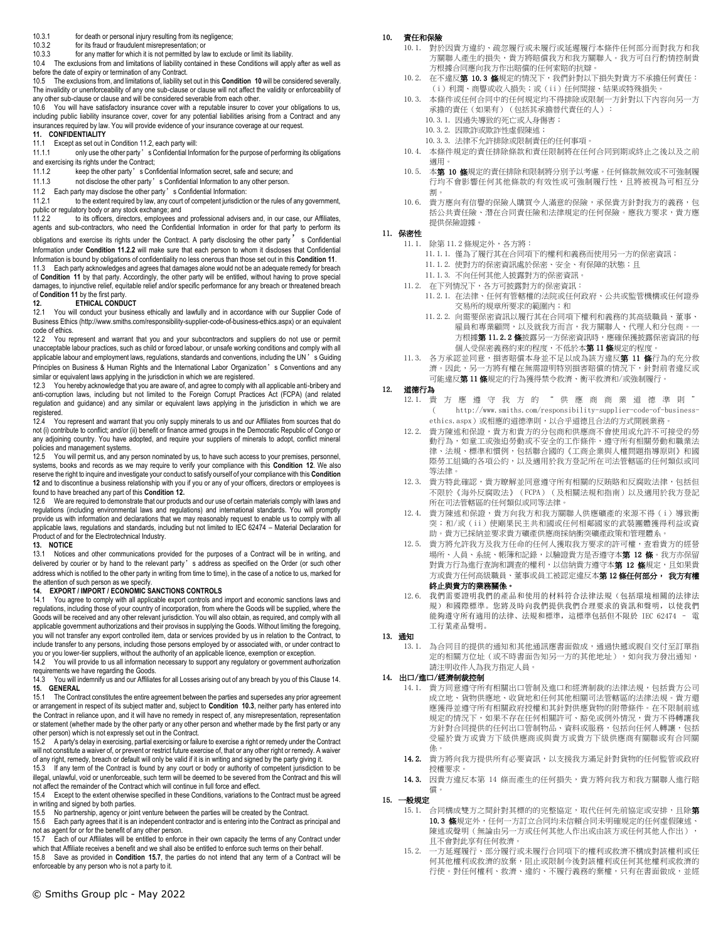- 10.3.1 for death or personal injury resulting from its negligence;
- 10.3.2 for its fraud or fraudulent misrepresentation; or

10.3.3 for any matter for which it is not permitted by law to exclude or limit its liability. 10.4 The exclusions from and limitations of liability contained in these Conditions will apply after as well as before the date of expiry or termination of any Contract.

10.5 The exclusions from, and limitations of, liability set out in this **Condition 10** will be considered severally. The invalidity or unenforceability of any one sub-clause or clause will not affect the validity or enforceability of any other sub-clause or clause and will be considered severable from each other.

10.6 You will have satisfactory insurance cover with a reputable insurer to cover your obligations to us, including public liability insurance cover, cover for any potential liabilities arising from a Contract and any insurances required by law. You will provide evidence of your insurance coverage at our request.

# **11. CONFIDENTIALITY**

11.1 Except as set out in Condition 11.2, each party will:<br>11.1.1 only use the other party's Confidential Info

only use the other party's Confidential Information for the purpose of performing its obligations and exercising its rights under the Contract;

- 11.1.2 keep the other party's Confidential Information secret, safe and secure; and
- 11.1.3 not disclose the other party's Confidential Information to any other person.
- 11.2 Each party may disclose the other party's Confidential Information:<br>11.2.1 to the extent required by law, any court of competent iurisdictic

to the extent required by law, any court of competent jurisdiction or the rules of any government, public or regulatory body or any stock exchange; and

11.2.2 to its officers, directors, employees and professional advisers and, in our case, our Affiliates, agents and sub-contractors, who need the Confidential Information in order for that party to perform its obligations and exercise its rights under the Contract. A party disclosing the other party' s Confidential Information under **Condition 11.2.2** will make sure that each person to whom it discloses that Confidential Information is bound by obligations of confidentiality no less onerous than those set out in this **Condition 11**. 11.3 Each party acknowledges and agrees that damages alone would not be an adequate remedy for breach<br>of Condition 11 by that party. Accordingly, the other party will be entitled, without having to prove special damages, to injunctive relief, equitable relief and/or specific performance for any breach or threatened breach

#### of **Condition 11** by the first party.<br>12<br>**ETHICAL CONDL 12. ETHICAL CONDUCT**

12.1 You will conduct your business ethically and lawfully and in accordance with our Supplier Code of Business Ethics (http://www.smiths.com/responsibility-supplier-code-of-business-ethics.aspx) or an equivalent code of ethics.

12.2 You represent and warrant that you and your subcontractors and suppliers do not use or permit unacceptable labour practices, such as child or forced labour, or unsafe working conditions and comply with all applicable labour and employment laws, regulations, standards and conventions, including the UN's Guiding Principles on Business & Human Rights and the International Labor Organization's Conventions and any similar or equivalent laws applying in the jurisdiction in which we are registered.

12.3 You hereby acknowledge that you are aware of, and agree to comply with all applicable anti-bribery and anti-corruption laws, including but not limited to the Foreign Corrupt Practices Act (FCPA) (and related regulation and guidance) and any similar or equivalent laws applying in the jurisdiction in which we are registered.

12.4 You represent and warrant that you only supply minerals to us and our Affiliates from sources that do not (i) contribute to conflict; and/or (ii) benefit or finance armed groups in the Democratic Republic of Congo or any adjoining country. You have adopted, and require your suppliers of minerals to adopt, conflict mineral policies and management systems.

12.5 You will permit us, and any person nominated by us, to have such access to your premises, personnel, systems, books and records as we may require to verify your compliance with this **Condition 12**. We also reserve the right to inquire and investigate your conduct to satisfy ourself of your compliance with this **Condition 12** and to discontinue a business relationship with you if you or any of your officers, directors or employees is found to have breached any part of this **Condition 12.** 

12.6 We are required to demonstrate that our products and our use of certain materials comply with laws and regulations (including environmental laws and regulations) and international standards. You will promptly provide us with information and declarations that we may reasonably request to enable us to comply with all applicable laws, regulations and standards, including but not limited to IEC 62474 – Material Declaration for Product of and for the Electrotechnical Industry.

## **13. NOTICE**

13.1 Notices and other communications provided for the purposes of a Contract will be in writing, and delivered by courier or by hand to the relevant party's address as specified on the Order (or such other address which is notified to the other party in writing from time to time), in the case of a notice to us, marked for the attention of such person as we specify.

# **14. EXPORT / IMPORT / ECONOMIC SANCTIONS CONTROLS**

You agree to comply with all applicable export controls and import and economic sanctions laws and regulations, including those of your country of incorporation, from where the Goods will be supplied, where the Goods will be received and any other relevant jurisdiction. You will also obtain, as required, and comply with all applicable government authorizations and their provisos in supplying the Goods. Without limiting the foregoing, you will not transfer any export controlled item, data or services provided by us in relation to the Contract, to include transfer to any persons, including those persons employed by or associated with, or under contract to you or you lower-tier suppliers, without the authority of an applicable licence, exemption or exception.

14.2 You will provide to us all information necessary to support any regulatory or government authorization requirements we have regarding the Goods.

14.3 You will indemnify us and our Affiliates for all Losses arising out of any breach by you of this Clause 14. **15. GENERAL**

15.1 The Contract constitutes the entire agreement between the parties and supersedes any prior agreement or arrangement in respect of its subject matter and, subject to **Condition 10.3**, neither party has entered into the Contract in reliance upon, and it will have no remedy in respect of, any misrepresentation, representation or statement (whether made by the other party or any other person and whether made by the first party or any other person) which is not expressly set out in the Contract.

15.2 A party's delay in exercising, partial exercising or failure to exercise a right or remedy under the Contract will not constitute a waiver of, or prevent or restrict future exercise of, that or any other right or remedy. A waiver of any right, remedy, breach or default will only be valid if it is in writing and signed by the party giving it.<br>15.3. If any term of the Contract is found by any court or body or authority of competent jurisdiction

If any term of the Contract is found by any court or body or authority of competent jurisdiction to be illegal, unlawful, void or unenforceable, such term will be deemed to be severed from the Contract and this will not affect the remainder of the Contract which will continue in full force and effect.

15.4 Except to the extent otherwise specified in these Conditions, variations to the Contract must be agreed in writing and signed by both parties.

15.5 No partnership, agency or joint venture between the parties will be created by the Contract.

15.6 Each party agrees that it is an independent contractor and is entering into the Contract as principal and not as agent for or for the benefit of any other person.

15.7 Each of our Affiliates will be entitled to enforce in their own capacity the terms of any Contract under which that Affiliate receives a benefit and we shall also be entitled to enforce such terms on their behalf.

15.8 Save as provided in **Condition 15.7**, the parties do not intend that any term of a Contract will be enforceable by any person who is not a party to it.

## 10. 責任和保險

- 10.1. 對於因貴方違約、疏忽履行或未履行或延遲履行本條件任何部分而對我方和我 方關聯人產生的損失,貴方將賠償我方和我方關聯人。我方可自行酌情控制貴 方根據合同應向我方作出賠償的任何索賠的抗辯。
- 10.2. 在不違反第 10.3 條規定的情況下,我們針對以下損失對貴方不承擔任何責任: (i)利潤、商譽或收入損失;或(ii)任何間接、結果或特殊損失。
- 10.3. 本條件或任何合同中的任何規定均不得排除或限制一方針對以下內容向另一方 承擔的責任(如果有)(包括其承擔替代責任的人):
	- 10.3.1. 因過失導致的死亡或人身傷害;
	- 10.3.2. 因欺詐或欺詐性虛假陳述;
	- 10.3.3. 法律不允許排除或限制責任的任何事項。
- 10.4. 本條件規定的責任排除條款和責任限制將在任何合同到期或終止之後以及之前 適用。
- 10.5. 本第 10 條規定的責任排除和限制將分別予以考慮。任何條款無效或不可強制履 行均不會影響任何其他條款的有效性或可強制履行性,且將被視為可相互分 割。
- 10.6. 貴方應向有信譽的保險人購買令人滿意的保險,承保貴方針對我方的義務,包 括公共責任險、潛在合同責任險和法律規定的任何保險。應我方要求,貴方應 提供保險證據。

## 11. 保密性

11.1. 除第 11.2 條規定外,各方將:

- 11.1.1. 僅為了履行其在合同項下的權利和義務而使用另一方的保密資訊;
- 11.1.2. 使對方的保密資訊處於保密、安全、有保障的狀態;且
- 11.1.3. 不向任何其他人披露對方的保密資訊。
- 11.2. 在下列情況下,各方可披露對方的保密資訊:
	- 11.2.1. 在法律、任何有管轄權的法院或任何政府、公共或監管機構或任何證券 交易所的規章所要求的範圍內;和
	- 11.2.2. 向需要保密資訊以履行其在合同項下權利和義務的其高級職員、董事、 雇員和專業顧問,以及就我方而言,我方關聯人、代理人和分包商。一 方根據第11.2.2 條披露另一方保密資訊時,應確保獲披露保密資訊的每 個人受保密義務約束的程度,不低於本**第 11 條**規定的程度
- 11.3. 各方承認並同意,損害賠償本身並不足以成為該方違反第 11 條行為的充分救 濟。因此,另一方將有權在無需證明特別損害賠償的情況下,針對前者違反或 可能違反第 11 條規定的行為獲得禁令救濟、衡平救濟和/或強制履行。

## 12. 道德行為

- 12.1. 貴方應遵守我方的"供應商商業道德準則" ( http://www.smiths.com/responsibility-supplier-code-of-businessethics.aspx)或相應的道德準則,以合乎道德且合法的方式開展業務
- 12.2. 貴方陳述和保證,貴方和貴方的分包商和供應商不會使用或允許不可接受的勞 動行為,如童工或強迫勞動或不安全的工作條件,遵守所有相關勞動和職業法 律、法規、標準和慣例,包括聯合國的《工商企業與人權問題指導原則》和國 際勞工組織的各項公約,以及適用於我方登記所在司法管轄區的任何類似或同 等法律。
- 12.3. 貴方特此確認,貴方瞭解並同意遵守所有相關的反賄賂和反腐敗法律,包括但 不限於《海外反腐敗法》(FCPA)(及相關法規和指南)以及適用於我方登記 所在司法管轄區的任何類似或同等法律。
- 12.4. 貴方陳述和保證,貴方向我方和我方關聯人供應礦產的來源不得(i)導致衝 突;和/或(ii)使剛果民主共和國或任何相鄰國家的武裝團體獲得利益或資 助。貴方已採納並要求貴方礦產供應商採納衝突礦產政策和管理體系。
- 12.5. 貴方將允許我方及我方任命的任何人獲取我方要求的許可權,查看貴方的經營 場所、人員、系統、帳簿和記錄,以驗證貴方是否遵守本第 12 條。我方亦保留 對貴方行為進行查詢和調查的權利,以信納貴方遵守本第 12 條規定,且如果貴 方或貴方任何高級職員、董事或員工被認定違反本**第 12 條任何部分, 我方有權** 終止與貴方的業務關係。
- 12.6. 我們需要證明我們的產品和使用的材料符合法律法規(包括環境相關的法律法 規)和國際標準。您將及時向我們提供我們合理要求的資訊和聲明,以使我們 能夠遵守所有適用的法律、法規和標準,這標準包括但不限於 IEC 62474 – 電 工行業產品聲明。

## 13. 通知

13.1. 為合同目的提供的通知和其他通訊應書面做成,通過快遞或親自交付至訂單指 定的相關方位址(或不時書面告知另一方的其他地址),如向我方發出通知, 請注明收件人為我方指定人員。

## 14. 出口/進口/經濟制裁控制

- 14.1. 貴方同意遵守所有相關出口管制及進口和經濟制裁的法律法規,包括貴方公司 成立地、貨物供應地、收貨地和任何其他相關司法管轄區的法律法規。貴方還 應獲得並遵守所有相關政府授權和其針對供應貨物的附帶條件。在不限制前述 規定的情況下,如果不存在任何相關許可、豁免或例外情況,貴方不得轉讓我 方針對合同提供的任何出口管制物品、資料或服務,包括向任何人轉讓,包括 受雇於貴方或貴方下級供應商或與貴方或貴方下級供應商有關聯或有合同關 係。
- 14.2. 貴方將向我方提供所有必要資訊,以支援我方滿足針對貨物的任何監管或政府 授權要求。
- 14.3. 因貴方違反本第 14 條而產生的任何損失,貴方將向我方和我方關聯人進行賠 償。

## 15. 一般規定

- 15.1. 合同構成雙方之間針對其標的的完整協定,取代任何先前協定或安排,且除第 10.3 條規定外,任何一方訂立合同均未信賴合同未明確規定的任何虛假陳述、 陳述或聲明(無論由另一方或任何其他人作出或由該方或任何其他人作出), 且不會對此享有任何救濟。
- 15.2. 一方延遲履行、部分履行或未履行合同項下的權利或救濟不構成對該權利或任 何其他權利或救濟的放棄,阻止或限制今後對該權利或任何其他權利或救濟的 行使。對任何權利、救濟、違約、不履行義務的棄權,只有在書面做成,並經